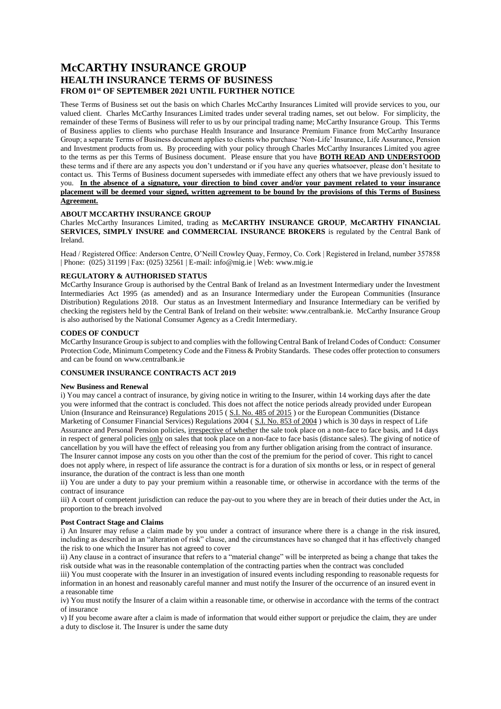# **McCARTHY INSURANCE GROUP HEALTH INSURANCE TERMS OF BUSINESS FROM 01st OF SEPTEMBER 2021 UNTIL FURTHER NOTICE**

These Terms of Business set out the basis on which Charles McCarthy Insurances Limited will provide services to you, our valued client. Charles McCarthy Insurances Limited trades under several trading names, set out below. For simplicity, the remainder of these Terms of Business will refer to us by our principal trading name; McCarthy Insurance Group. This Terms of Business applies to clients who purchase Health Insurance and Insurance Premium Finance from McCarthy Insurance Group; a separate Terms of Business document applies to clients who purchase 'Non-Life' Insurance, Life Assurance, Pension and Investment products from us. By proceeding with your policy through Charles McCarthy Insurances Limited you agree to the terms as per this Terms of Business document. Please ensure that you have **BOTH READ AND UNDERSTOOD** these terms and if there are any aspects you don't understand or if you have any queries whatsoever, please don't hesitate to contact us. This Terms of Business document supersedes with immediate effect any others that we have previously issued to you. **In the absence of a signature, your direction to bind cover and/or your payment related to your insurance placement will be deemed your signed, written agreement to be bound by the provisions of this Terms of Business Agreement.**

# **ABOUT MCCARTHY INSURANCE GROUP**

Charles McCarthy Insurances Limited, trading as **McCARTHY INSURANCE GROUP**, **McCARTHY FINANCIAL SERVICES, SIMPLY INSURE and COMMERCIAL INSURANCE BROKERS** is regulated by the Central Bank of Ireland.

Head / Registered Office: Anderson Centre, O'Neill Crowley Quay, Fermoy, Co. Cork | Registered in Ireland, number 357858 | Phone: (025) 31199 | Fax: (025) 32561 | E-mail: info@mig.ie | Web: www.mig.ie

# **REGULATORY & AUTHORISED STATUS**

McCarthy Insurance Group is authorised by the Central Bank of Ireland as an Investment Intermediary under the Investment Intermediaries Act 1995 (as amended) and as an Insurance Intermediary under the European Communities (Insurance Distribution) Regulations 2018. Our status as an Investment Intermediary and Insurance Intermediary can be verified by checking the registers held by the Central Bank of Ireland on their website: www.centralbank.ie. McCarthy Insurance Group is also authorised by the National Consumer Agency as a Credit Intermediary.

## **CODES OF CONDUCT**

McCarthy Insurance Group is subject to and complies with the following Central Bank of Ireland Codes of Conduct: Consumer Protection Code, Minimum Competency Code and the Fitness & Probity Standards. These codes offer protection to consumers and can be found on www.centralbank.ie

# **CONSUMER INSURANCE CONTRACTS ACT 2019**

# **New Business and Renewal**

i) You may cancel a contract of insurance, by giving notice in writing to the Insurer, within 14 working days after the date you were informed that the contract is concluded. This does not affect the notice periods already provided under European Union (Insurance and Reinsurance) Regulations 2015 ([S.I. No. 485 of 2015](http://www.irishstatutebook.ie/2015/en/si/0485.html)) or the European Communities (Distance Marketing of Consumer Financial Services) Regulations 2004 ([S.I. No. 853 of 2004](http://www.irishstatutebook.ie/2004/en/si/0853.html)) which is 30 days in respect of Life Assurance and Personal Pension policies, irrespective of whether the sale took place on a non-face to face basis, and 14 days in respect of general policies only on sales that took place on a non-face to face basis (distance sales). The giving of notice of cancellation by you will have the effect of releasing you from any further obligation arising from the contract of insurance. The Insurer cannot impose any costs on you other than the cost of the premium for the period of cover. This right to cancel does not apply where, in respect of life assurance the contract is for a duration of six months or less, or in respect of general insurance, the duration of the contract is less than one month

ii) You are under a duty to pay your premium within a reasonable time, or otherwise in accordance with the terms of the contract of insurance

iii) A court of competent jurisdiction can reduce the pay-out to you where they are in breach of their duties under the Act, in proportion to the breach involved

#### **Post Contract Stage and Claims**

i) An Insurer may refuse a claim made by you under a contract of insurance where there is a change in the risk insured, including as described in an "alteration of risk" clause, and the circumstances have so changed that it has effectively changed the risk to one which the Insurer has not agreed to cover

ii) Any clause in a contract of insurance that refers to a "material change" will be interpreted as being a change that takes the risk outside what was in the reasonable contemplation of the contracting parties when the contract was concluded

iii) You must cooperate with the Insurer in an investigation of insured events including responding to reasonable requests for information in an honest and reasonably careful manner and must notify the Insurer of the occurrence of an insured event in a reasonable time

iv) You must notify the Insurer of a claim within a reasonable time, or otherwise in accordance with the terms of the contract of insurance

v) If you become aware after a claim is made of information that would either support or prejudice the claim, they are under a duty to disclose it. The Insurer is under the same duty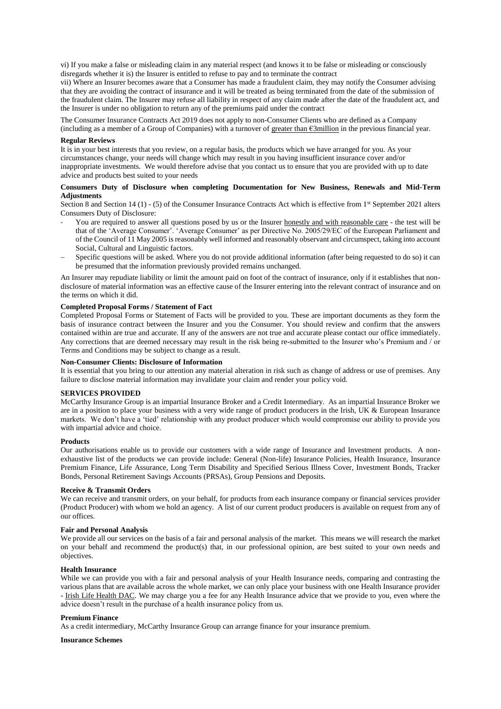vi) If you make a false or misleading claim in any material respect (and knows it to be false or misleading or consciously disregards whether it is) the Insurer is entitled to refuse to pay and to terminate the contract

vii) Where an Insurer becomes aware that a Consumer has made a fraudulent claim, they may notify the Consumer advising that they are avoiding the contract of insurance and it will be treated as being terminated from the date of the submission of the fraudulent claim. The Insurer may refuse all liability in respect of any claim made after the date of the fraudulent act, and the Insurer is under no obligation to return any of the premiums paid under the contract

The Consumer Insurance Contracts Act 2019 does not apply to non-Consumer Clients who are defined as a Company (including as a member of a Group of Companies) with a turnover of greater than €3million in the previous financial year.

#### **Regular Reviews**

It is in your best interests that you review, on a regular basis, the products which we have arranged for you. As your circumstances change, your needs will change which may result in you having insufficient insurance cover and/or inappropriate investments. We would therefore advise that you contact us to ensure that you are provided with up to date advice and products best suited to your needs

## **Consumers Duty of Disclosure when completing Documentation for New Business, Renewals and Mid-Term Adjustments**

Section 8 and Section 14 (1) - (5) of the Consumer Insurance Contracts Act which is effective from 1<sup>st</sup> September 2021 alters Consumers Duty of Disclosure:

- You are required to answer all questions posed by us or the Insurer honestly and with reasonable care the test will be that of the 'Average Consumer'. 'Average Consumer' as per Directive No. 2005/29/EC of the European Parliament and of the Council of 11 May 2005 is reasonably well informed and reasonably observant and circumspect, taking into account Social, Cultural and Linguistic factors.
- Specific questions will be asked. Where you do not provide additional information (after being requested to do so) it can be presumed that the information previously provided remains unchanged.

An Insurer may repudiate liability or limit the amount paid on foot of the contract of insurance, only if it establishes that nondisclosure of material information was an effective cause of the Insurer entering into the relevant contract of insurance and on the terms on which it did.

#### **Completed Proposal Forms / Statement of Fact**

Completed Proposal Forms or Statement of Facts will be provided to you. These are important documents as they form the basis of insurance contract between the Insurer and you the Consumer. You should review and confirm that the answers contained within are true and accurate. If any of the answers are not true and accurate please contact our office immediately. Any corrections that are deemed necessary may result in the risk being re-submitted to the Insurer who's Premium and / or Terms and Conditions may be subject to change as a result.

#### **Non-Consumer Clients: Disclosure of Information**

It is essential that you bring to our attention any material alteration in risk such as change of address or use of premises. Any failure to disclose material information may invalidate your claim and render your policy void.

# **SERVICES PROVIDED**

McCarthy Insurance Group is an impartial Insurance Broker and a Credit Intermediary. As an impartial Insurance Broker we are in a position to place your business with a very wide range of product producers in the Irish, UK & European Insurance markets. We don't have a 'tied' relationship with any product producer which would compromise our ability to provide you with impartial advice and choice.

#### **Products**

Our authorisations enable us to provide our customers with a wide range of Insurance and Investment products. A nonexhaustive list of the products we can provide include: General (Non-life) Insurance Policies, Health Insurance, Insurance Premium Finance, Life Assurance, Long Term Disability and Specified Serious Illness Cover, Investment Bonds, Tracker Bonds, Personal Retirement Savings Accounts (PRSAs), Group Pensions and Deposits.

#### **Receive & Transmit Orders**

We can receive and transmit orders, on your behalf, for products from each insurance company or financial services provider (Product Producer) with whom we hold an agency. A list of our current product producers is available on request from any of our offices.

## **Fair and Personal Analysis**

We provide all our services on the basis of a fair and personal analysis of the market. This means we will research the market on your behalf and recommend the product(s) that, in our professional opinion, are best suited to your own needs and objectives.

## **Health Insurance**

While we can provide you with a fair and personal analysis of your Health Insurance needs, comparing and contrasting the various plans that are available across the whole market, we can only place your business with one Health Insurance provider - Irish Life Health DAC. We may charge you a fee for any Health Insurance advice that we provide to you, even where the advice doesn't result in the purchase of a health insurance policy from us.

#### **Premium Finance**

As a credit intermediary, McCarthy Insurance Group can arrange finance for your insurance premium.

#### **Insurance Schemes**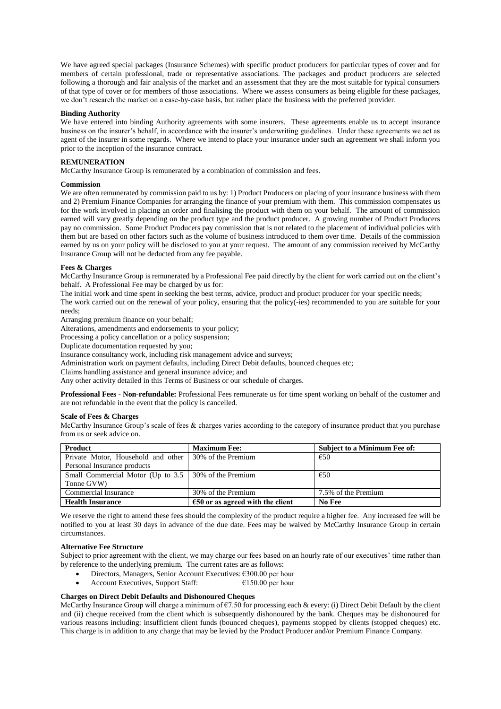We have agreed special packages (Insurance Schemes) with specific product producers for particular types of cover and for members of certain professional, trade or representative associations. The packages and product producers are selected following a thorough and fair analysis of the market and an assessment that they are the most suitable for typical consumers of that type of cover or for members of those associations. Where we assess consumers as being eligible for these packages, we don't research the market on a case-by-case basis, but rather place the business with the preferred provider.

#### **Binding Authority**

We have entered into binding Authority agreements with some insurers. These agreements enable us to accept insurance business on the insurer's behalf, in accordance with the insurer's underwriting guidelines. Under these agreements we act as agent of the insurer in some regards. Where we intend to place your insurance under such an agreement we shall inform you prior to the inception of the insurance contract.

## **REMUNERATION**

McCarthy Insurance Group is remunerated by a combination of commission and fees.

## **Commission**

We are often remunerated by commission paid to us by: 1) Product Producers on placing of your insurance business with them and 2) Premium Finance Companies for arranging the finance of your premium with them. This commission compensates us for the work involved in placing an order and finalising the product with them on your behalf. The amount of commission earned will vary greatly depending on the product type and the product producer. A growing number of Product Producers pay no commission. Some Product Producers pay commission that is not related to the placement of individual policies with them but are based on other factors such as the volume of business introduced to them over time. Details of the commission earned by us on your policy will be disclosed to you at your request. The amount of any commission received by McCarthy Insurance Group will not be deducted from any fee payable.

## **Fees & Charges**

McCarthy Insurance Group is remunerated by a Professional Fee paid directly by the client for work carried out on the client's behalf. A Professional Fee may be charged by us for:

The initial work and time spent in seeking the best terms, advice, product and product producer for your specific needs;

The work carried out on the renewal of your policy, ensuring that the policy(-ies) recommended to you are suitable for your needs;

Arranging premium finance on your behalf;

Alterations, amendments and endorsements to your policy;

Processing a policy cancellation or a policy suspension;

Duplicate documentation requested by you;

Insurance consultancy work, including risk management advice and surveys;

Administration work on payment defaults, including Direct Debit defaults, bounced cheques etc;

Claims handling assistance and general insurance advice; and

Any other activity detailed in this Terms of Business or our schedule of charges.

**Professional Fees - Non-refundable:** Professional Fees remunerate us for time spent working on behalf of the customer and are not refundable in the event that the policy is cancelled.

## **Scale of Fees & Charges**

McCarthy Insurance Group's scale of fees & charges varies according to the category of insurance product that you purchase from us or seek advice on.

| <b>Product</b>                                           | <b>Maximum Fee:</b>                | <b>Subject to a Minimum Fee of:</b> |
|----------------------------------------------------------|------------------------------------|-------------------------------------|
| Private Motor, Household and other   30% of the Premium  |                                    | €50                                 |
| Personal Insurance products                              |                                    |                                     |
| Small Commercial Motor (Up to $3.5$   30% of the Premium |                                    | €50                                 |
| Tonne GVW)                                               |                                    |                                     |
| Commercial Insurance                                     | 30% of the Premium                 | 7.5% of the Premium                 |
| <b>Health Insurance</b>                                  | $650$ or as agreed with the client | No Fee                              |

We reserve the right to amend these fees should the complexity of the product require a higher fee. Any increased fee will be notified to you at least 30 days in advance of the due date. Fees may be waived by McCarthy Insurance Group in certain circumstances.

## **Alternative Fee Structure**

Subject to prior agreement with the client, we may charge our fees based on an hourly rate of our executives' time rather than by reference to the underlying premium. The current rates are as follows:

- Directors, Managers, Senior Account Executives: €300.00 per hour
- Account Executives, Support Staff: €150.00 per hour

# **Charges on Direct Debit Defaults and Dishonoured Cheques**

McCarthy Insurance Group will charge a minimum of €7.50 for processing each & every: (i) Direct Debit Default by the client and (ii) cheque received from the client which is subsequently dishonoured by the bank. Cheques may be dishonoured for various reasons including: insufficient client funds (bounced cheques), payments stopped by clients (stopped cheques) etc. This charge is in addition to any charge that may be levied by the Product Producer and/or Premium Finance Company.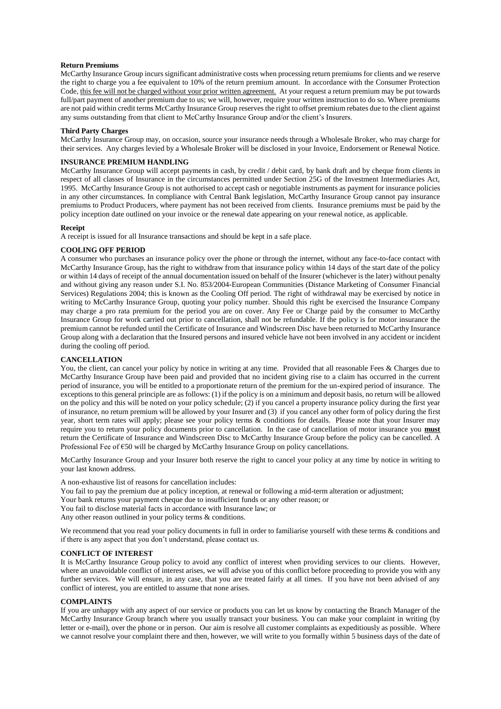## **Return Premiums**

McCarthy Insurance Group incurs significant administrative costs when processing return premiums for clients and we reserve the right to charge you a fee equivalent to 10% of the return premium amount. In accordance with the Consumer Protection Code, this fee will not be charged without your prior written agreement. At your request a return premium may be put towards full/part payment of another premium due to us; we will, however, require your written instruction to do so. Where premiums are not paid within credit terms McCarthy Insurance Group reserves the right to offset premium rebates due to the client against any sums outstanding from that client to McCarthy Insurance Group and/or the client's Insurers.

#### **Third Party Charges**

McCarthy Insurance Group may, on occasion, source your insurance needs through a Wholesale Broker, who may charge for their services. Any charges levied by a Wholesale Broker will be disclosed in your Invoice, Endorsement or Renewal Notice.

# **INSURANCE PREMIUM HANDLING**

McCarthy Insurance Group will accept payments in cash, by credit / debit card, by bank draft and by cheque from clients in respect of all classes of Insurance in the circumstances permitted under Section 25G of the Investment Intermediaries Act, 1995. McCarthy Insurance Group is not authorised to accept cash or negotiable instruments as payment for insurance policies in any other circumstances. In compliance with Central Bank legislation, McCarthy Insurance Group cannot pay insurance premiums to Product Producers, where payment has not been received from clients. Insurance premiums must be paid by the policy inception date outlined on your invoice or the renewal date appearing on your renewal notice, as applicable.

## **Receipt**

A receipt is issued for all Insurance transactions and should be kept in a safe place.

## **COOLING OFF PERIOD**

A consumer who purchases an insurance policy over the phone or through the internet, without any face-to-face contact with McCarthy Insurance Group, has the right to withdraw from that insurance policy within 14 days of the start date of the policy or within 14 days of receipt of the annual documentation issued on behalf of the Insurer (whichever is the later) without penalty and without giving any reason under S.I. No. 853/2004-European Communities (Distance Marketing of Consumer Financial Services) Regulations 2004; this is known as the Cooling Off period. The right of withdrawal may be exercised by notice in writing to McCarthy Insurance Group, quoting your policy number. Should this right be exercised the Insurance Company may charge a pro rata premium for the period you are on cover. Any Fee or Charge paid by the consumer to McCarthy Insurance Group for work carried out prior to cancellation, shall not be refundable. If the policy is for motor insurance the premium cannot be refunded until the Certificate of Insurance and Windscreen Disc have been returned to McCarthy Insurance Group along with a declaration that the Insured persons and insured vehicle have not been involved in any accident or incident during the cooling off period.

#### **CANCELLATION**

You, the client, can cancel your policy by notice in writing at any time. Provided that all reasonable Fees & Charges due to McCarthy Insurance Group have been paid and provided that no incident giving rise to a claim has occurred in the current period of insurance, you will be entitled to a proportionate return of the premium for the un-expired period of insurance. The exceptions to this general principle are as follows: (1) if the policy is on a minimum and deposit basis, no return will be allowed on the policy and this will be noted on your policy schedule; (2) if you cancel a property insurance policy during the first year of insurance, no return premium will be allowed by your Insurer and (3) if you cancel any other form of policy during the first year, short term rates will apply; please see your policy terms & conditions for details. Please note that your Insurer may require you to return your policy documents prior to cancellation. In the case of cancellation of motor insurance you **must** return the Certificate of Insurance and Windscreen Disc to McCarthy Insurance Group before the policy can be cancelled. A Professional Fee of €50 will be charged by McCarthy Insurance Group on policy cancellations.

McCarthy Insurance Group and your Insurer both reserve the right to cancel your policy at any time by notice in writing to your last known address.

A non-exhaustive list of reasons for cancellation includes:

You fail to pay the premium due at policy inception, at renewal or following a mid-term alteration or adjustment;

Your bank returns your payment cheque due to insufficient funds or any other reason; or

You fail to disclose material facts in accordance with Insurance law; or

Any other reason outlined in your policy terms & conditions.

We recommend that you read your policy documents in full in order to familiarise yourself with these terms & conditions and if there is any aspect that you don't understand, please contact us.

## **CONFLICT OF INTEREST**

It is McCarthy Insurance Group policy to avoid any conflict of interest when providing services to our clients. However, where an unavoidable conflict of interest arises, we will advise you of this conflict before proceeding to provide you with any further services. We will ensure, in any case, that you are treated fairly at all times. If you have not been advised of any conflict of interest, you are entitled to assume that none arises.

## **COMPLAINTS**

If you are unhappy with any aspect of our service or products you can let us know by contacting the Branch Manager of the McCarthy Insurance Group branch where you usually transact your business. You can make your complaint in writing (by letter or e-mail), over the phone or in person. Our aim is resolve all customer complaints as expeditiously as possible. Where we cannot resolve your complaint there and then, however, we will write to you formally within 5 business days of the date of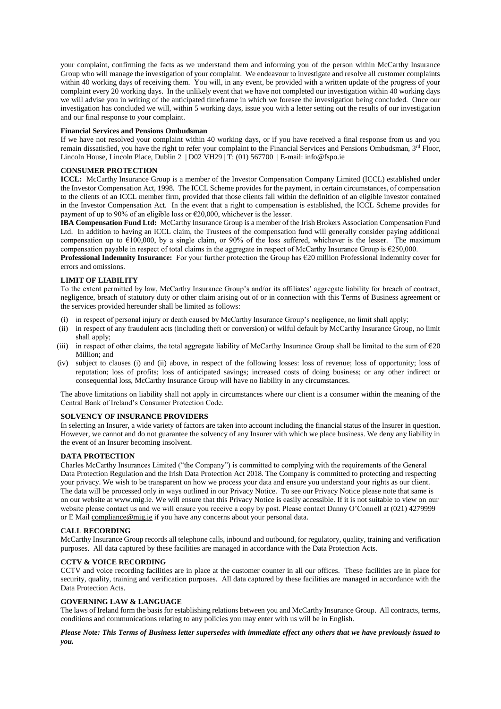your complaint, confirming the facts as we understand them and informing you of the person within McCarthy Insurance Group who will manage the investigation of your complaint. We endeavour to investigate and resolve all customer complaints within 40 working days of receiving them. You will, in any event, be provided with a written update of the progress of your complaint every 20 working days. In the unlikely event that we have not completed our investigation within 40 working days we will advise you in writing of the anticipated timeframe in which we foresee the investigation being concluded. Once our investigation has concluded we will, within 5 working days, issue you with a letter setting out the results of our investigation and our final response to your complaint.

#### **Financial Services and Pensions Ombudsman**

If we have not resolved your complaint within 40 working days, or if you have received a final response from us and you remain dissatisfied, you have the right to refer your complaint to the Financial Services and Pensions Ombudsman, 3<sup>rd</sup> Floor, Lincoln House, Lincoln Place, Dublin 2 | D02 VH29 | T: (01) 567700 | E-mail: info@fspo.ie

# **CONSUMER PROTECTION**

**ICCL:** McCarthy Insurance Group is a member of the Investor Compensation Company Limited (ICCL) established under the Investor Compensation Act, 1998. The ICCL Scheme provides for the payment, in certain circumstances, of compensation to the clients of an ICCL member firm, provided that those clients fall within the definition of an eligible investor contained in the Investor Compensation Act. In the event that a right to compensation is established, the ICCL Scheme provides for payment of up to 90% of an eligible loss or  $\epsilon$ 20,000, whichever is the lesser.

**IBA Compensation Fund Ltd:** McCarthy Insurance Group is a member of the Irish Brokers Association Compensation Fund Ltd. In addition to having an ICCL claim, the Trustees of the compensation fund will generally consider paying additional compensation up to  $\epsilon$ 100,000, by a single claim, or 90% of the loss suffered, whichever is the lesser. The maximum compensation payable in respect of total claims in the aggregate in respect of McCarthy Insurance Group is  $\epsilon$ 250,000.

**Professional Indemnity Insurance:** For your further protection the Group has €20 million Professional Indemnity cover for errors and omissions.

## **LIMIT OF LIABILITY**

To the extent permitted by law, McCarthy Insurance Group's and/or its affiliates' aggregate liability for breach of contract, negligence, breach of statutory duty or other claim arising out of or in connection with this Terms of Business agreement or the services provided hereunder shall be limited as follows:

- (i) in respect of personal injury or death caused by McCarthy Insurance Group's negligence, no limit shall apply;
- (ii) in respect of any fraudulent acts (including theft or conversion) or wilful default by McCarthy Insurance Group, no limit shall apply;
- (iii) in respect of other claims, the total aggregate liability of McCarthy Insurance Group shall be limited to the sum of  $\epsilon$ 20 Million; and
- (iv) subject to clauses (i) and (ii) above, in respect of the following losses: loss of revenue; loss of opportunity; loss of reputation; loss of profits; loss of anticipated savings; increased costs of doing business; or any other indirect or consequential loss, McCarthy Insurance Group will have no liability in any circumstances.

The above limitations on liability shall not apply in circumstances where our client is a consumer within the meaning of the Central Bank of Ireland's Consumer Protection Code.

# **SOLVENCY OF INSURANCE PROVIDERS**

In selecting an Insurer, a wide variety of factors are taken into account including the financial status of the Insurer in question. However, we cannot and do not guarantee the solvency of any Insurer with which we place business. We deny any liability in the event of an Insurer becoming insolvent.

# **DATA PROTECTION**

Charles McCarthy Insurances Limited ("the Company") is committed to complying with the requirements of the General Data Protection Regulation and the Irish Data Protection Act 2018. The Company is committed to protecting and respecting your privacy. We wish to be transparent on how we process your data and ensure you understand your rights as our client. The data will be processed only in ways outlined in our Privacy Notice. To see our Privacy Notice please note that same is on our website at www.mig.ie. We will ensure that this Privacy Notice is easily accessible. If it is not suitable to view on our website please contact us and we will ensure you receive a copy by post. Please contact Danny O'Connell at (021) 4279999 or E Mai[l compliance@mig.ie](mailto:compliance@mig.ie) if you have any concerns about your personal data.

#### **CALL RECORDING**

McCarthy Insurance Group records all telephone calls, inbound and outbound, for regulatory, quality, training and verification purposes. All data captured by these facilities are managed in accordance with the Data Protection Acts.

#### **CCTV & VOICE RECORDING**

CCTV and voice recording facilities are in place at the customer counter in all our offices. These facilities are in place for security, quality, training and verification purposes. All data captured by these facilities are managed in accordance with the Data Protection Acts.

#### **GOVERNING LAW & LANGUAGE**

The laws of Ireland form the basis for establishing relations between you and McCarthy Insurance Group. All contracts, terms, conditions and communications relating to any policies you may enter with us will be in English.

*Please Note: This Terms of Business letter supersedes with immediate effect any others that we have previously issued to you.*